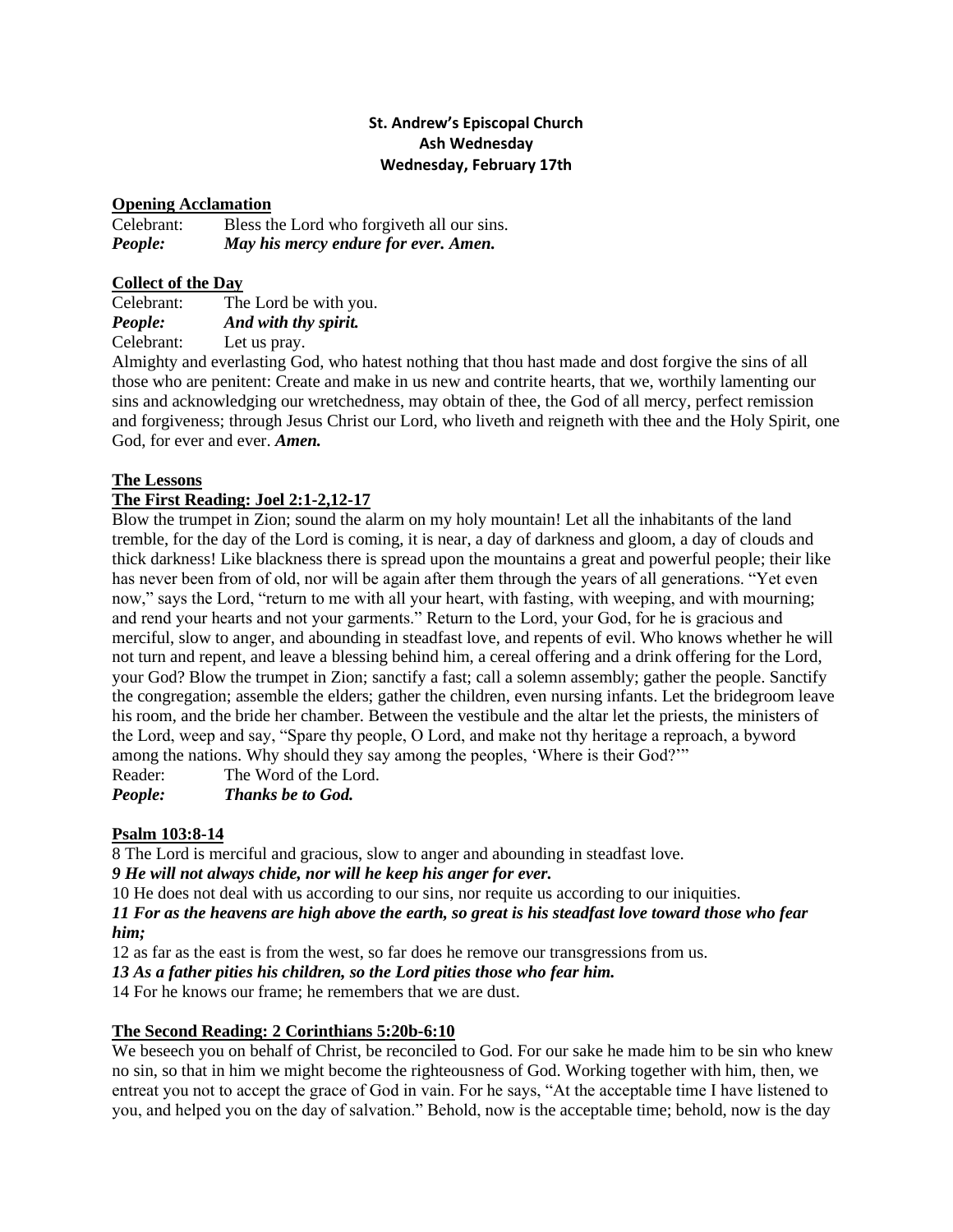# **St. Andrew's Episcopal Church Ash Wednesday Wednesday, February 17th**

### **Opening Acclamation**

Celebrant: Bless the Lord who forgiveth all our sins. *People: May his mercy endure for ever. Amen.*

### **Collect of the Day**

| Celebrant: | The Lord be with you. |
|------------|-----------------------|
| People:    | And with thy spirit.  |
| Celebrant: | Let us pray.          |

Almighty and everlasting God, who hatest nothing that thou hast made and dost forgive the sins of all those who are penitent: Create and make in us new and contrite hearts, that we, worthily lamenting our sins and acknowledging our wretchedness, may obtain of thee, the God of all mercy, perfect remission and forgiveness; through Jesus Christ our Lord, who liveth and reigneth with thee and the Holy Spirit, one God, for ever and ever. *Amen.*

## **The Lessons**

# **The First Reading: Joel 2:1-2,12-17**

Blow the trumpet in Zion; sound the alarm on my holy mountain! Let all the inhabitants of the land tremble, for the day of the Lord is coming, it is near, a day of darkness and gloom, a day of clouds and thick darkness! Like blackness there is spread upon the mountains a great and powerful people; their like has never been from of old, nor will be again after them through the years of all generations. "Yet even now," says the Lord, "return to me with all your heart, with fasting, with weeping, and with mourning; and rend your hearts and not your garments." Return to the Lord, your God, for he is gracious and merciful, slow to anger, and abounding in steadfast love, and repents of evil. Who knows whether he will not turn and repent, and leave a blessing behind him, a cereal offering and a drink offering for the Lord, your God? Blow the trumpet in Zion; sanctify a fast; call a solemn assembly; gather the people. Sanctify the congregation; assemble the elders; gather the children, even nursing infants. Let the bridegroom leave his room, and the bride her chamber. Between the vestibule and the altar let the priests, the ministers of the Lord, weep and say, "Spare thy people, O Lord, and make not thy heritage a reproach, a byword among the nations. Why should they say among the peoples, 'Where is their God?'" Reader: The Word of the Lord.

*People: Thanks be to God.*

### **Psalm 103:8-14**

8 The Lord is merciful and gracious, slow to anger and abounding in steadfast love.

*9 He will not always chide, nor will he keep his anger for ever.*

10 He does not deal with us according to our sins, nor requite us according to our iniquities.

*11 For as the heavens are high above the earth, so great is his steadfast love toward those who fear him;*

12 as far as the east is from the west, so far does he remove our transgressions from us.

*13 As a father pities his children, so the Lord pities those who fear him.*

14 For he knows our frame; he remembers that we are dust.

# **The Second Reading: 2 Corinthians 5:20b-6:10**

We beseech you on behalf of Christ, be reconciled to God. For our sake he made him to be sin who knew no sin, so that in him we might become the righteousness of God. Working together with him, then, we entreat you not to accept the grace of God in vain. For he says, "At the acceptable time I have listened to you, and helped you on the day of salvation." Behold, now is the acceptable time; behold, now is the day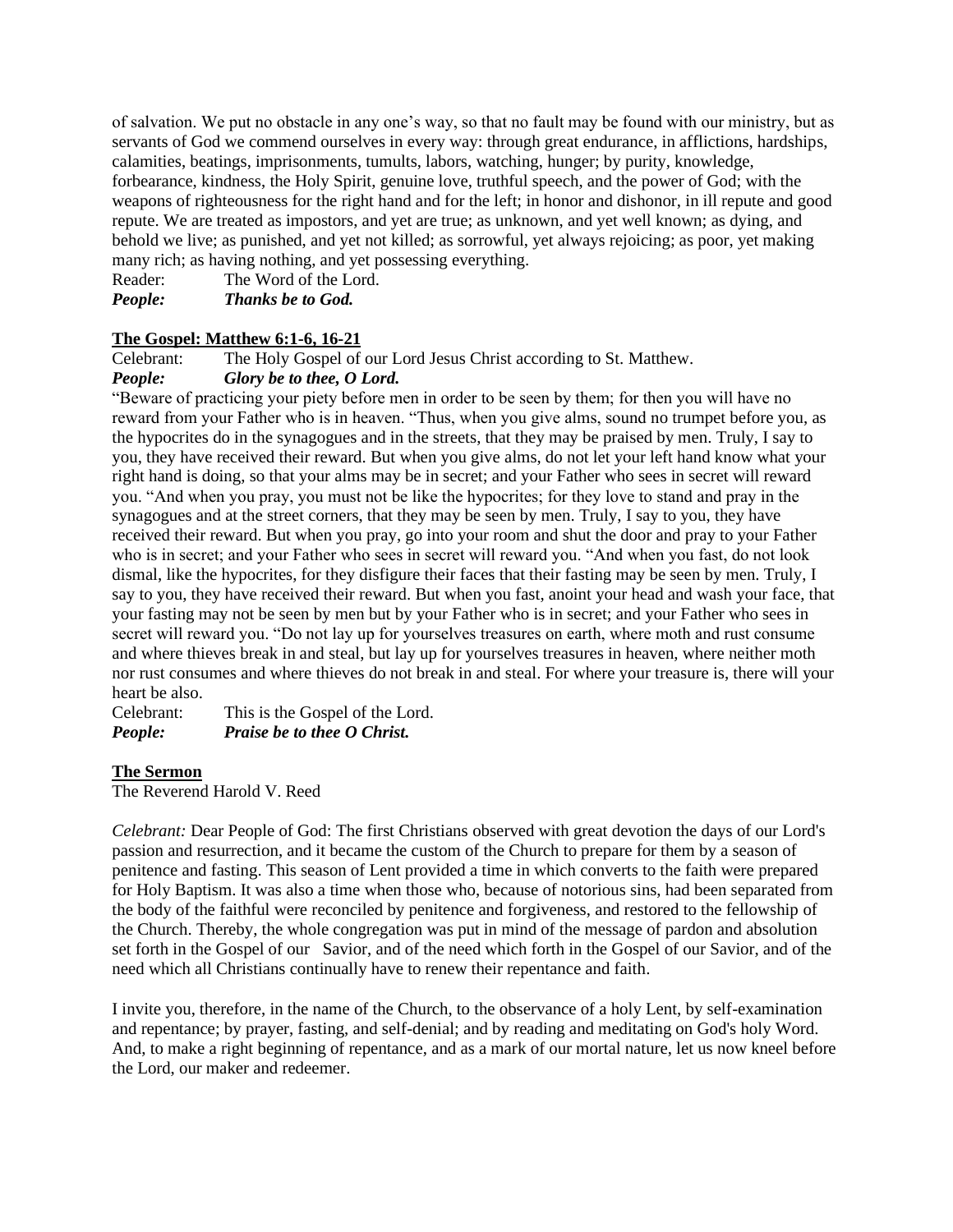of salvation. We put no obstacle in any one's way, so that no fault may be found with our ministry, but as servants of God we commend ourselves in every way: through great endurance, in afflictions, hardships, calamities, beatings, imprisonments, tumults, labors, watching, hunger; by purity, knowledge, forbearance, kindness, the Holy Spirit, genuine love, truthful speech, and the power of God; with the weapons of righteousness for the right hand and for the left; in honor and dishonor, in ill repute and good repute. We are treated as impostors, and yet are true; as unknown, and yet well known; as dying, and behold we live; as punished, and yet not killed; as sorrowful, yet always rejoicing; as poor, yet making many rich; as having nothing, and yet possessing everything.

Reader: The Word of the Lord.

*People: Thanks be to God.*

# **The Gospel: Matthew 6:1-6, 16-21**

Celebrant: The Holy Gospel of our Lord Jesus Christ according to St. Matthew.

# *People: Glory be to thee, O Lord.*

"Beware of practicing your piety before men in order to be seen by them; for then you will have no reward from your Father who is in heaven. "Thus, when you give alms, sound no trumpet before you, as the hypocrites do in the synagogues and in the streets, that they may be praised by men. Truly, I say to you, they have received their reward. But when you give alms, do not let your left hand know what your right hand is doing, so that your alms may be in secret; and your Father who sees in secret will reward you. "And when you pray, you must not be like the hypocrites; for they love to stand and pray in the synagogues and at the street corners, that they may be seen by men. Truly, I say to you, they have received their reward. But when you pray, go into your room and shut the door and pray to your Father who is in secret; and your Father who sees in secret will reward you. "And when you fast, do not look dismal, like the hypocrites, for they disfigure their faces that their fasting may be seen by men. Truly, I say to you, they have received their reward. But when you fast, anoint your head and wash your face, that your fasting may not be seen by men but by your Father who is in secret; and your Father who sees in secret will reward you. "Do not lay up for yourselves treasures on earth, where moth and rust consume and where thieves break in and steal, but lay up for yourselves treasures in heaven, where neither moth nor rust consumes and where thieves do not break in and steal. For where your treasure is, there will your heart be also.

Celebrant: This is the Gospel of the Lord. *People: Praise be to thee O Christ.*

# **The Sermon**

The Reverend Harold V. Reed

*Celebrant:* Dear People of God: The first Christians observed with great devotion the days of our Lord's passion and resurrection, and it became the custom of the Church to prepare for them by a season of penitence and fasting. This season of Lent provided a time in which converts to the faith were prepared for Holy Baptism. It was also a time when those who, because of notorious sins, had been separated from the body of the faithful were reconciled by penitence and forgiveness, and restored to the fellowship of the Church. Thereby, the whole congregation was put in mind of the message of pardon and absolution set forth in the Gospel of our Savior, and of the need which forth in the Gospel of our Savior, and of the need which all Christians continually have to renew their repentance and faith.

I invite you, therefore, in the name of the Church, to the observance of a holy Lent, by self-examination and repentance; by prayer, fasting, and self-denial; and by reading and meditating on God's holy Word. And, to make a right beginning of repentance, and as a mark of our mortal nature, let us now kneel before the Lord, our maker and redeemer.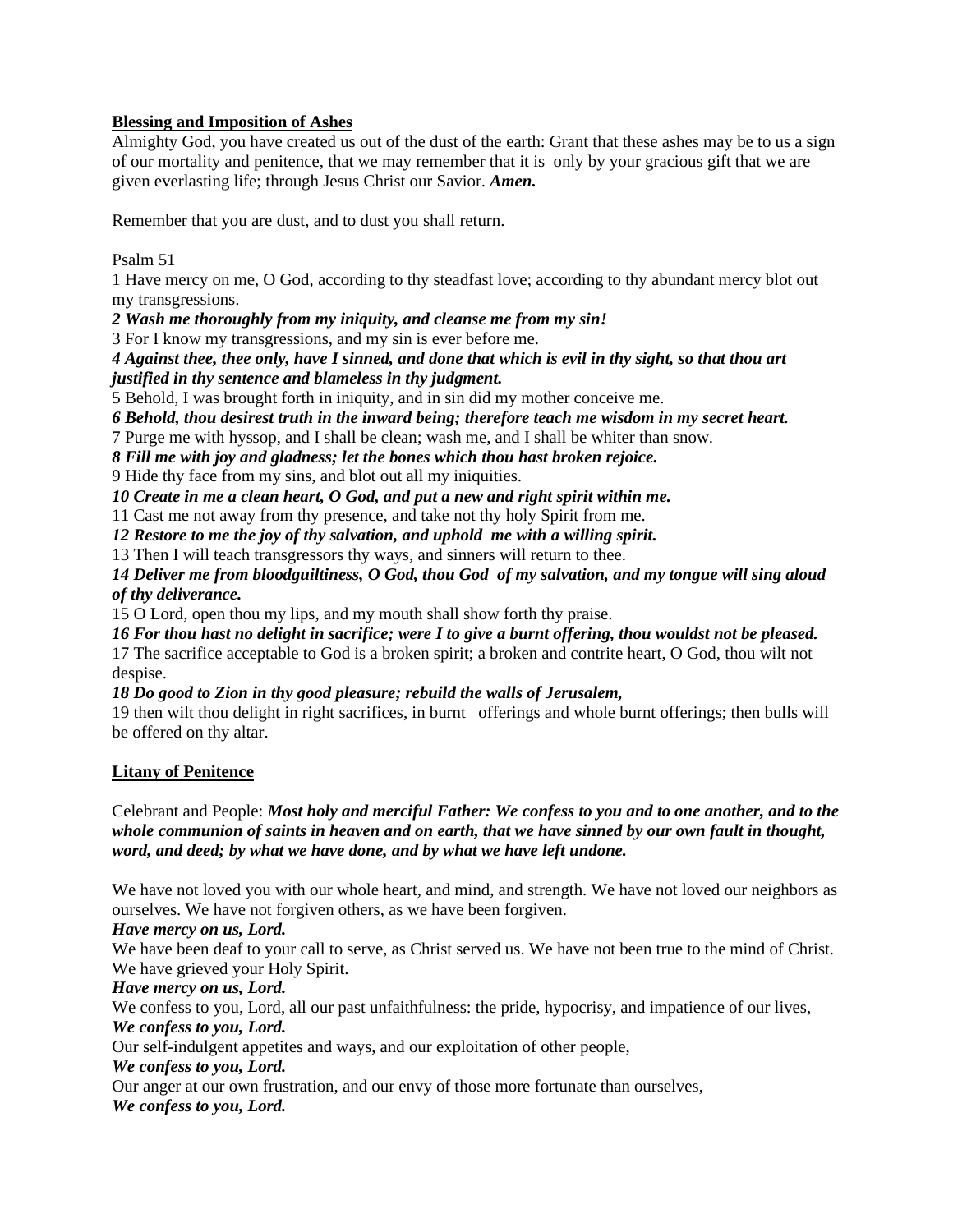## **Blessing and Imposition of Ashes**

Almighty God, you have created us out of the dust of the earth: Grant that these ashes may be to us a sign of our mortality and penitence, that we may remember that it is only by your gracious gift that we are given everlasting life; through Jesus Christ our Savior. *Amen.*

Remember that you are dust, and to dust you shall return.

Psalm 51

1 Have mercy on me, O God, according to thy steadfast love; according to thy abundant mercy blot out my transgressions.

*2 Wash me thoroughly from my iniquity, and cleanse me from my sin!* 

3 For I know my transgressions, and my sin is ever before me.

*4 Against thee, thee only, have I sinned, and done that which is evil in thy sight, so that thou art justified in thy sentence and blameless in thy judgment.*

5 Behold, I was brought forth in iniquity, and in sin did my mother conceive me.

*6 Behold, thou desirest truth in the inward being; therefore teach me wisdom in my secret heart.*

7 Purge me with hyssop, and I shall be clean; wash me, and I shall be whiter than snow.

*8 Fill me with joy and gladness; let the bones which thou hast broken rejoice.*

9 Hide thy face from my sins, and blot out all my iniquities.

*10 Create in me a clean heart, O God, and put a new and right spirit within me.*

11 Cast me not away from thy presence, and take not thy holy Spirit from me.

*12 Restore to me the joy of thy salvation, and uphold me with a willing spirit.* 

13 Then I will teach transgressors thy ways, and sinners will return to thee.

*14 Deliver me from bloodguiltiness, O God, thou God of my salvation, and my tongue will sing aloud of thy deliverance.* 

15 O Lord, open thou my lips, and my mouth shall show forth thy praise.

*16 For thou hast no delight in sacrifice; were I to give a burnt offering, thou wouldst not be pleased.*

17 The sacrifice acceptable to God is a broken spirit; a broken and contrite heart, O God, thou wilt not despise.

*18 Do good to Zion in thy good pleasure; rebuild the walls of Jerusalem,*

19 then wilt thou delight in right sacrifices, in burnt offerings and whole burnt offerings; then bulls will be offered on thy altar.

# **Litany of Penitence**

Celebrant and People: *Most holy and merciful Father: We confess to you and to one another, and to the whole communion of saints in heaven and on earth, that we have sinned by our own fault in thought, word, and deed; by what we have done, and by what we have left undone.*

We have not loved you with our whole heart, and mind, and strength. We have not loved our neighbors as ourselves. We have not forgiven others, as we have been forgiven.

### *Have mercy on us, Lord.*

We have been deaf to your call to serve, as Christ served us. We have not been true to the mind of Christ. We have grieved your Holy Spirit.

*Have mercy on us, Lord.*

We confess to you, Lord, all our past unfaithfulness: the pride, hypocrisy, and impatience of our lives, *We confess to you, Lord.*

Our self-indulgent appetites and ways, and our exploitation of other people,

*We confess to you, Lord.*

Our anger at our own frustration, and our envy of those more fortunate than ourselves,

*We confess to you, Lord.*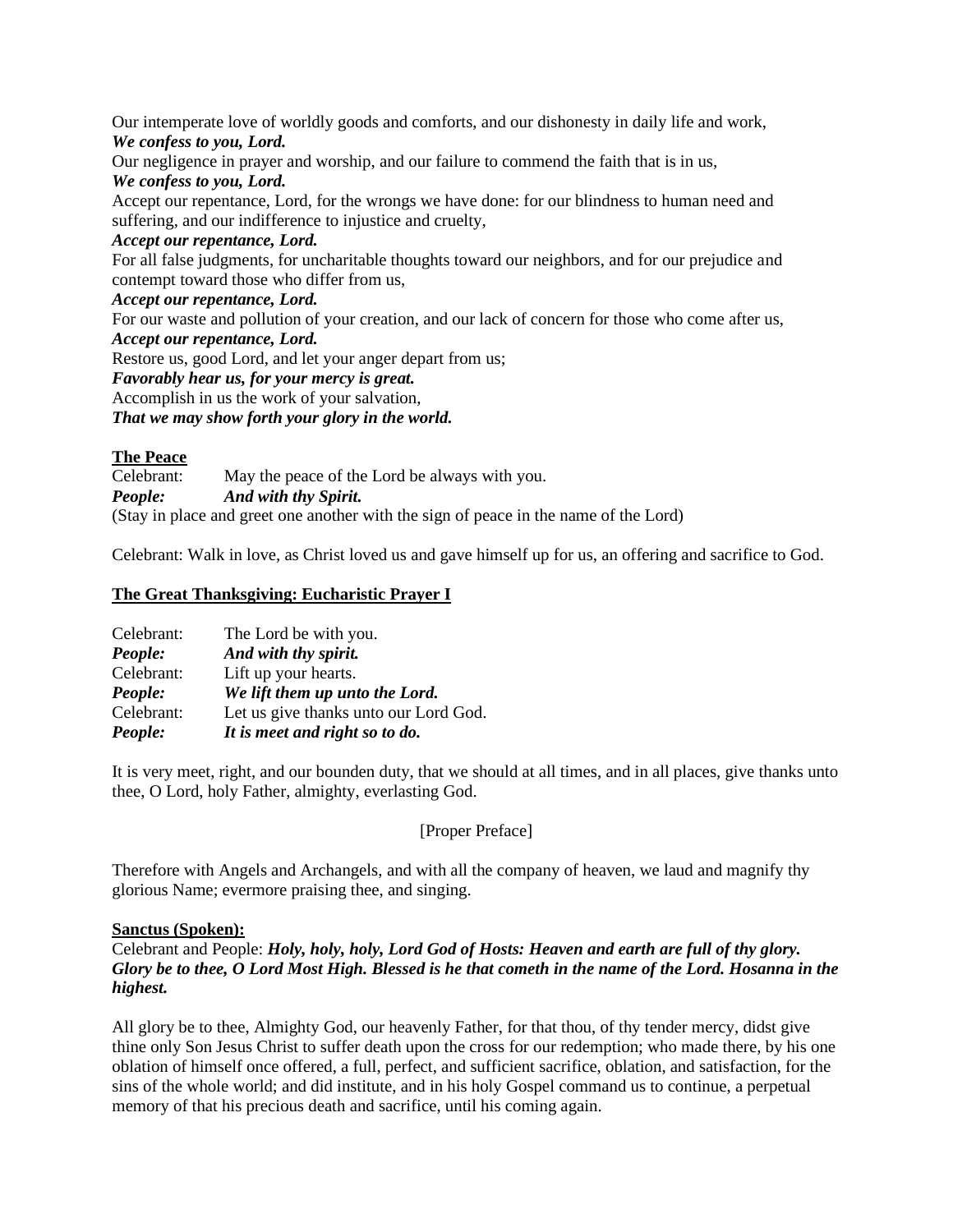Our intemperate love of worldly goods and comforts, and our dishonesty in daily life and work, *We confess to you, Lord.*

Our negligence in prayer and worship, and our failure to commend the faith that is in us, *We confess to you, Lord.*

Accept our repentance, Lord, for the wrongs we have done: for our blindness to human need and suffering, and our indifference to injustice and cruelty,

### *Accept our repentance, Lord.*

For all false judgments, for uncharitable thoughts toward our neighbors, and for our prejudice and contempt toward those who differ from us,

#### *Accept our repentance, Lord.*

For our waste and pollution of your creation, and our lack of concern for those who come after us, *Accept our repentance, Lord.*

Restore us, good Lord, and let your anger depart from us;

*Favorably hear us, for your mercy is great.*

Accomplish in us the work of your salvation,

*That we may show forth your glory in the world.*

### **The Peace**

Celebrant: May the peace of the Lord be always with you. *People: And with thy Spirit.* (Stay in place and greet one another with the sign of peace in the name of the Lord)

Celebrant: Walk in love, as Christ loved us and gave himself up for us, an offering and sacrifice to God.

## **The Great Thanksgiving: Eucharistic Prayer I**

| Celebrant: | The Lord be with you.                 |
|------------|---------------------------------------|
| People:    | And with thy spirit.                  |
| Celebrant: | Lift up your hearts.                  |
| People:    | We lift them up unto the Lord.        |
| Celebrant: | Let us give thanks unto our Lord God. |
| People:    | It is meet and right so to do.        |

It is very meet, right, and our bounden duty, that we should at all times, and in all places, give thanks unto thee, O Lord, holy Father, almighty, everlasting God.

### [Proper Preface]

Therefore with Angels and Archangels, and with all the company of heaven, we laud and magnify thy glorious Name; evermore praising thee, and singing.

### **Sanctus (Spoken):**

## Celebrant and People: *Holy, holy, holy, Lord God of Hosts: Heaven and earth are full of thy glory. Glory be to thee, O Lord Most High. Blessed is he that cometh in the name of the Lord. Hosanna in the highest.*

All glory be to thee, Almighty God, our heavenly Father, for that thou, of thy tender mercy, didst give thine only Son Jesus Christ to suffer death upon the cross for our redemption; who made there, by his one oblation of himself once offered, a full, perfect, and sufficient sacrifice, oblation, and satisfaction, for the sins of the whole world; and did institute, and in his holy Gospel command us to continue, a perpetual memory of that his precious death and sacrifice, until his coming again.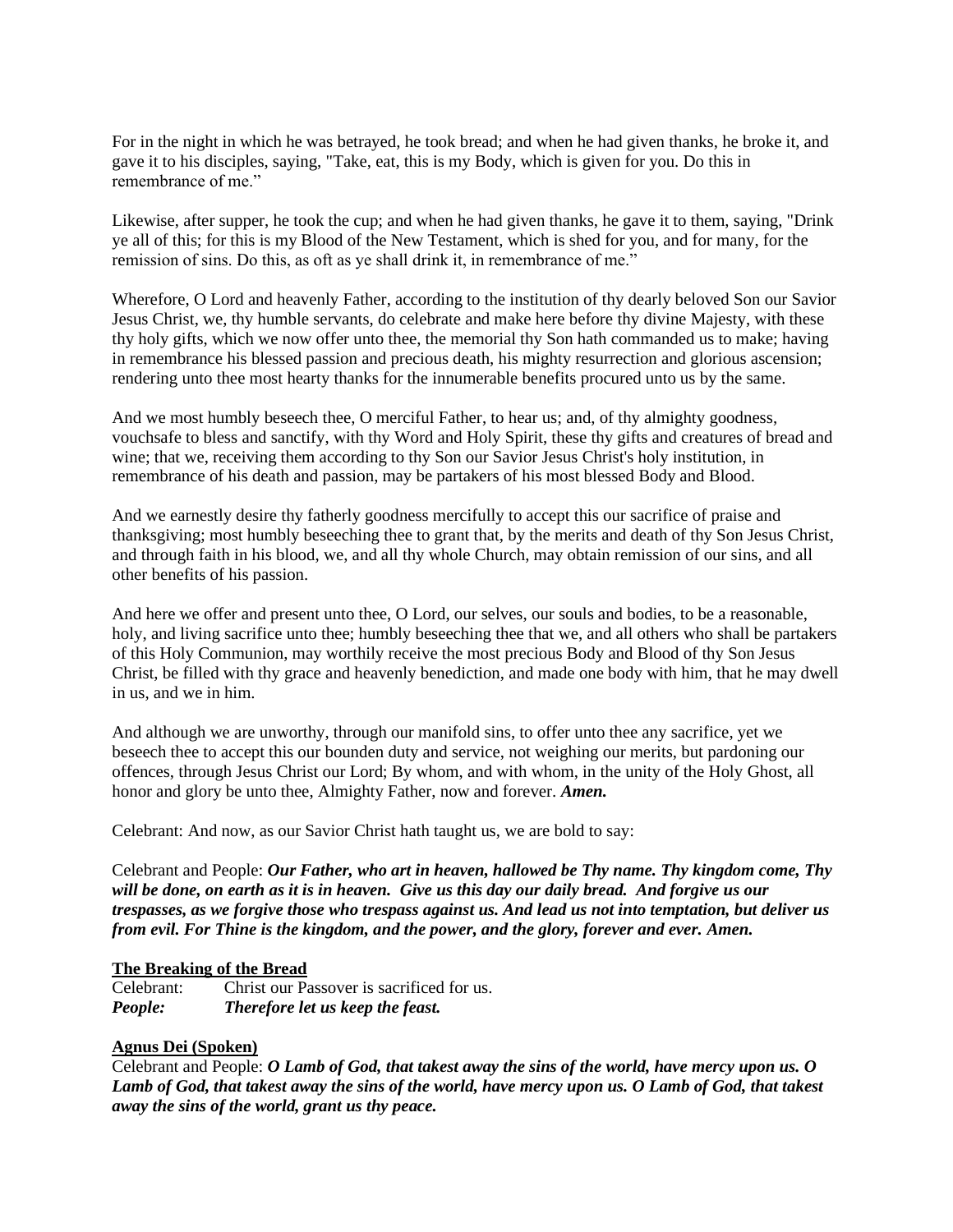For in the night in which he was betrayed, he took bread; and when he had given thanks, he broke it, and gave it to his disciples, saying, "Take, eat, this is my Body, which is given for you. Do this in remembrance of me."

Likewise, after supper, he took the cup; and when he had given thanks, he gave it to them, saying, "Drink ye all of this; for this is my Blood of the New Testament, which is shed for you, and for many, for the remission of sins. Do this, as oft as ye shall drink it, in remembrance of me."

Wherefore, O Lord and heavenly Father, according to the institution of thy dearly beloved Son our Savior Jesus Christ, we, thy humble servants, do celebrate and make here before thy divine Majesty, with these thy holy gifts, which we now offer unto thee, the memorial thy Son hath commanded us to make; having in remembrance his blessed passion and precious death, his mighty resurrection and glorious ascension; rendering unto thee most hearty thanks for the innumerable benefits procured unto us by the same.

And we most humbly beseech thee, O merciful Father, to hear us; and, of thy almighty goodness, vouchsafe to bless and sanctify, with thy Word and Holy Spirit, these thy gifts and creatures of bread and wine; that we, receiving them according to thy Son our Savior Jesus Christ's holy institution, in remembrance of his death and passion, may be partakers of his most blessed Body and Blood.

And we earnestly desire thy fatherly goodness mercifully to accept this our sacrifice of praise and thanksgiving; most humbly beseeching thee to grant that, by the merits and death of thy Son Jesus Christ, and through faith in his blood, we, and all thy whole Church, may obtain remission of our sins, and all other benefits of his passion.

And here we offer and present unto thee, O Lord, our selves, our souls and bodies, to be a reasonable, holy, and living sacrifice unto thee; humbly beseeching thee that we, and all others who shall be partakers of this Holy Communion, may worthily receive the most precious Body and Blood of thy Son Jesus Christ, be filled with thy grace and heavenly benediction, and made one body with him, that he may dwell in us, and we in him.

And although we are unworthy, through our manifold sins, to offer unto thee any sacrifice, yet we beseech thee to accept this our bounden duty and service, not weighing our merits, but pardoning our offences, through Jesus Christ our Lord; By whom, and with whom, in the unity of the Holy Ghost, all honor and glory be unto thee, Almighty Father, now and forever. *Amen.*

Celebrant: And now, as our Savior Christ hath taught us, we are bold to say:

Celebrant and People: *Our Father, who art in heaven, hallowed be Thy name. Thy kingdom come, Thy will be done, on earth as it is in heaven. Give us this day our daily bread. And forgive us our trespasses, as we forgive those who trespass against us. And lead us not into temptation, but deliver us from evil. For Thine is the kingdom, and the power, and the glory, forever and ever. Amen.*

#### **The Breaking of the Bread**

Celebrant: Christ our Passover is sacrificed for us. *People: Therefore let us keep the feast.*

### **Agnus Dei (Spoken)**

Celebrant and People: *O Lamb of God, that takest away the sins of the world, have mercy upon us. O Lamb of God, that takest away the sins of the world, have mercy upon us. O Lamb of God, that takest away the sins of the world, grant us thy peace.*